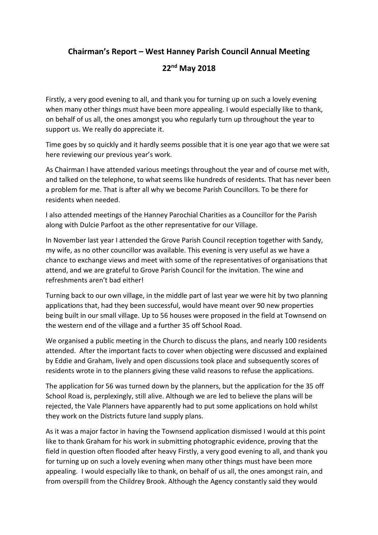## **Chairman's Report – West Hanney Parish Council Annual Meeting**

## **22nd May 2018**

Firstly, a very good evening to all, and thank you for turning up on such a lovely evening when many other things must have been more appealing. I would especially like to thank, on behalf of us all, the ones amongst you who regularly turn up throughout the year to support us. We really do appreciate it.

Time goes by so quickly and it hardly seems possible that it is one year ago that we were sat here reviewing our previous year's work.

As Chairman I have attended various meetings throughout the year and of course met with, and talked on the telephone, to what seems like hundreds of residents. That has never been a problem for me. That is after all why we become Parish Councillors. To be there for residents when needed.

I also attended meetings of the Hanney Parochial Charities as a Councillor for the Parish along with Dulcie Parfoot as the other representative for our Village.

In November last year I attended the Grove Parish Council reception together with Sandy, my wife, as no other councillor was available. This evening is very useful as we have a chance to exchange views and meet with some of the representatives of organisations that attend, and we are grateful to Grove Parish Council for the invitation. The wine and refreshments aren't bad either!

Turning back to our own village, in the middle part of last year we were hit by two planning applications that, had they been successful, would have meant over 90 new properties being built in our small village. Up to 56 houses were proposed in the field at Townsend on the western end of the village and a further 35 off School Road.

We organised a public meeting in the Church to discuss the plans, and nearly 100 residents attended. After the important facts to cover when objecting were discussed and explained by Eddie and Graham, lively and open discussions took place and subsequently scores of residents wrote in to the planners giving these valid reasons to refuse the applications.

The application for 56 was turned down by the planners, but the application for the 35 off School Road is, perplexingly, still alive. Although we are led to believe the plans will be rejected, the Vale Planners have apparently had to put some applications on hold whilst they work on the Districts future land supply plans.

As it was a major factor in having the Townsend application dismissed I would at this point like to thank Graham for his work in submitting photographic evidence, proving that the field in question often flooded after heavy Firstly, a very good evening to all, and thank you for turning up on such a lovely evening when many other things must have been more appealing. I would especially like to thank, on behalf of us all, the ones amongst rain, and from overspill from the Childrey Brook. Although the Agency constantly said they would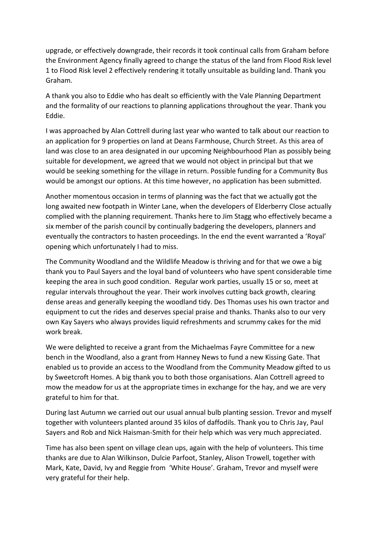upgrade, or effectively downgrade, their records it took continual calls from Graham before the Environment Agency finally agreed to change the status of the land from Flood Risk level 1 to Flood Risk level 2 effectively rendering it totally unsuitable as building land. Thank you Graham.

A thank you also to Eddie who has dealt so efficiently with the Vale Planning Department and the formality of our reactions to planning applications throughout the year. Thank you Eddie.

I was approached by Alan Cottrell during last year who wanted to talk about our reaction to an application for 9 properties on land at Deans Farmhouse, Church Street. As this area of land was close to an area designated in our upcoming Neighbourhood Plan as possibly being suitable for development, we agreed that we would not object in principal but that we would be seeking something for the village in return. Possible funding for a Community Bus would be amongst our options. At this time however, no application has been submitted.

Another momentous occasion in terms of planning was the fact that we actually got the long awaited new footpath in Winter Lane, when the developers of Elderberry Close actually complied with the planning requirement. Thanks here to Jim Stagg who effectively became a six member of the parish council by continually badgering the developers, planners and eventually the contractors to hasten proceedings. In the end the event warranted a 'Royal' opening which unfortunately I had to miss.

The Community Woodland and the Wildlife Meadow is thriving and for that we owe a big thank you to Paul Sayers and the loyal band of volunteers who have spent considerable time keeping the area in such good condition. Regular work parties, usually 15 or so, meet at regular intervals throughout the year. Their work involves cutting back growth, clearing dense areas and generally keeping the woodland tidy. Des Thomas uses his own tractor and equipment to cut the rides and deserves special praise and thanks. Thanks also to our very own Kay Sayers who always provides liquid refreshments and scrummy cakes for the mid work break.

We were delighted to receive a grant from the Michaelmas Fayre Committee for a new bench in the Woodland, also a grant from Hanney News to fund a new Kissing Gate. That enabled us to provide an access to the Woodland from the Community Meadow gifted to us by Sweetcroft Homes. A big thank you to both those organisations. Alan Cottrell agreed to mow the meadow for us at the appropriate times in exchange for the hay, and we are very grateful to him for that.

During last Autumn we carried out our usual annual bulb planting session. Trevor and myself together with volunteers planted around 35 kilos of daffodils. Thank you to Chris Jay, Paul Sayers and Rob and Nick Haisman-Smith for their help which was very much appreciated.

Time has also been spent on village clean ups, again with the help of volunteers. This time thanks are due to Alan Wilkinson, Dulcie Parfoot, Stanley, Alison Trowell, together with Mark, Kate, David, Ivy and Reggie from 'White House'. Graham, Trevor and myself were very grateful for their help.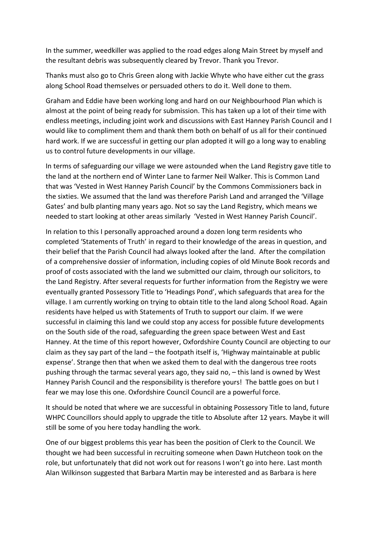In the summer, weedkiller was applied to the road edges along Main Street by myself and the resultant debris was subsequently cleared by Trevor. Thank you Trevor.

Thanks must also go to Chris Green along with Jackie Whyte who have either cut the grass along School Road themselves or persuaded others to do it. Well done to them.

Graham and Eddie have been working long and hard on our Neighbourhood Plan which is almost at the point of being ready for submission. This has taken up a lot of their time with endless meetings, including joint work and discussions with East Hanney Parish Council and I would like to compliment them and thank them both on behalf of us all for their continued hard work. If we are successful in getting our plan adopted it will go a long way to enabling us to control future developments in our village.

In terms of safeguarding our village we were astounded when the Land Registry gave title to the land at the northern end of Winter Lane to farmer Neil Walker. This is Common Land that was 'Vested in West Hanney Parish Council' by the Commons Commissioners back in the sixties. We assumed that the land was therefore Parish Land and arranged the 'Village Gates' and bulb planting many years ago. Not so say the Land Registry, which means we needed to start looking at other areas similarly 'Vested in West Hanney Parish Council'.

In relation to this I personally approached around a dozen long term residents who completed 'Statements of Truth' in regard to their knowledge of the areas in question, and their belief that the Parish Council had always looked after the land. After the compilation of a comprehensive dossier of information, including copies of old Minute Book records and proof of costs associated with the land we submitted our claim, through our solicitors, to the Land Registry. After several requests for further information from the Registry we were eventually granted Possessory Title to 'Headings Pond', which safeguards that area for the village. I am currently working on trying to obtain title to the land along School Road. Again residents have helped us with Statements of Truth to support our claim. If we were successful in claiming this land we could stop any access for possible future developments on the South side of the road, safeguarding the green space between West and East Hanney. At the time of this report however, Oxfordshire County Council are objecting to our claim as they say part of the land – the footpath itself is, 'Highway maintainable at public expense'. Strange then that when we asked them to deal with the dangerous tree roots pushing through the tarmac several years ago, they said no, – this land is owned by West Hanney Parish Council and the responsibility is therefore yours! The battle goes on but I fear we may lose this one. Oxfordshire Council Council are a powerful force.

It should be noted that where we are successful in obtaining Possessory Title to land, future WHPC Councillors should apply to upgrade the title to Absolute after 12 years. Maybe it will still be some of you here today handling the work.

One of our biggest problems this year has been the position of Clerk to the Council. We thought we had been successful in recruiting someone when Dawn Hutcheon took on the role, but unfortunately that did not work out for reasons I won't go into here. Last month Alan Wilkinson suggested that Barbara Martin may be interested and as Barbara is here